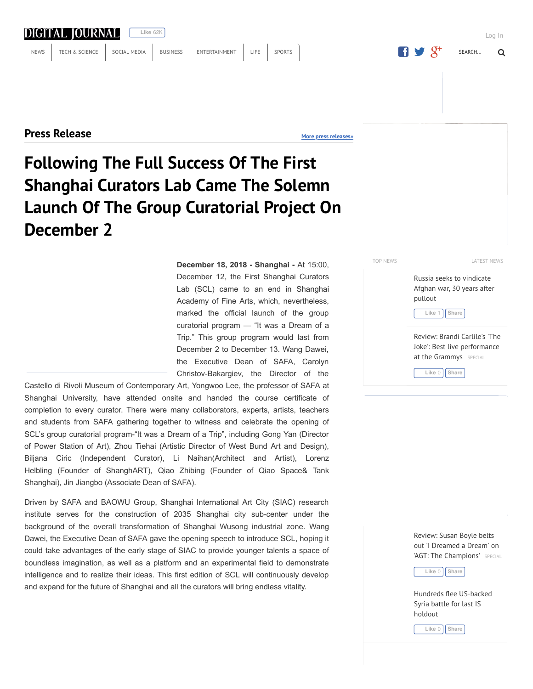# DIGITAL JOURNAL

**Like** 62K

**Press Release**

**More press releases»**

# **Following The Full Success Of The First Shanghai Curators Lab Came The Solemn Launch Of The Group Curatorial Project On December 2**

**December 18, 2018 Shanghai** At 15:00, December 12, the First Shanghai Curators Lab (SCL) came to an end in Shanghai Academy of Fine Arts, which, nevertheless, marked the official launch of the group curatorial program — "It was a Dream of a Trip." This group program would last from December 2 to December 13. Wang Dawei, the Executive Dean of SAFA, Carolyn Christov-Bakargiev, the Director of the

Castello di Rivoli Museum of Contemporary Art, Yongwoo Lee, the professor of SAFA at Shanghai University, have attended onsite and handed the course certificate of completion to every curator. There were many collaborators, experts, artists, teachers and students from SAFA gathering together to witness and celebrate the opening of SCL's group curatorial program-"It was a Dream of a Trip", including Gong Yan (Director of Power Station of Art), Zhou Tiehai (Artistic Director of West Bund Art and Design), Biljana Ciric (Independent Curator), Li Naihan(Architect and Artist), Lorenz Helbling (Founder of ShanghART), Qiao Zhibing (Founder of Qiao Space& Tank Shanghai), Jin Jiangbo (Associate Dean of SAFA).

Driven by SAFA and BAOWU Group, Shanghai International Art City (SIAC) research institute serves for the construction of 2035 Shanghai city sub-center under the background of the overall transformation of Shanghai Wusong industrial zone. Wang Dawei, the Executive Dean of SAFA gave the opening speech to introduce SCL, hoping it could take advantages of the early stage of SIAC to provide younger talents a space of boundless imagination, as well as a platform and an experimental field to demonstrate intelligence and to realize their ideas. This first edition of SCL will continuously develop and expand for the future of Shanghai and all the curators will bring endless vitality.

TOP NEWS TOP NEWS

Russia seeks to vindicate Afghan war, 30 years after pullout

**Like** 1 **Share**

Review: Brandi Carlile's 'The Joke': Best live performance at the Grammys SPECIAL

**Like** 0 **Share**

Review: Susan Boyle belts out 'I Dreamed a Dream' on 'AGT: The Champions' SPECIAL

**Like** 0 **Share**

Hundreds flee US-backed Syria battle for last IS holdout

**Like** 0 **Share**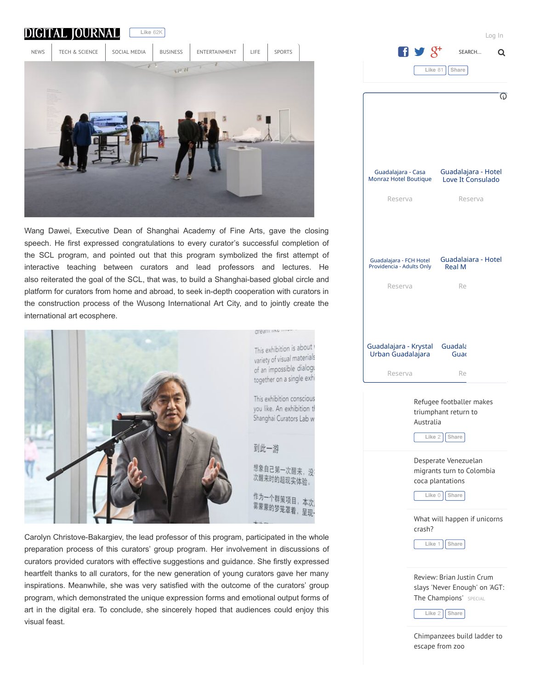

crash? **Like** 1 **Share**

> Review: Brian Justin Crum slays 'Never Enough' on 'AGT: The Champions' SPECIAL

**Like** 2 **Share**

Chimpanzees build ladder to escape from zoo



Wang Dawei, Executive Dean of Shanghai Academy of Fine Arts, gave the closing speech. He first expressed congratulations to every curator's successful completion of the SCL program, and pointed out that this program symbolized the first attempt of interactive teaching between curators and lead professors and lectures. He also reiterated the goal of the SCL, that was, to build a Shanghai-based global circle and platform for curators from home and abroad, to seek in-depth cooperation with curators in the construction process of the Wusong International Art City, and to jointly create the international art ecosphere.



Carolyn Christove-Bakargiev, the lead professor of this program, participated in the whole preparation process of this curators' group program. Her involvement in discussions of curators provided curators with effective suggestions and guidance. She firstly expressed heartfelt thanks to all curators, for the new generation of young curators gave her many inspirations. Meanwhile, she was very satisfied with the outcome of the curators' group program, which demonstrated the unique expression forms and emotional output forms of art in the digital era. To conclude, she sincerely hoped that audiences could enjoy this visual feast.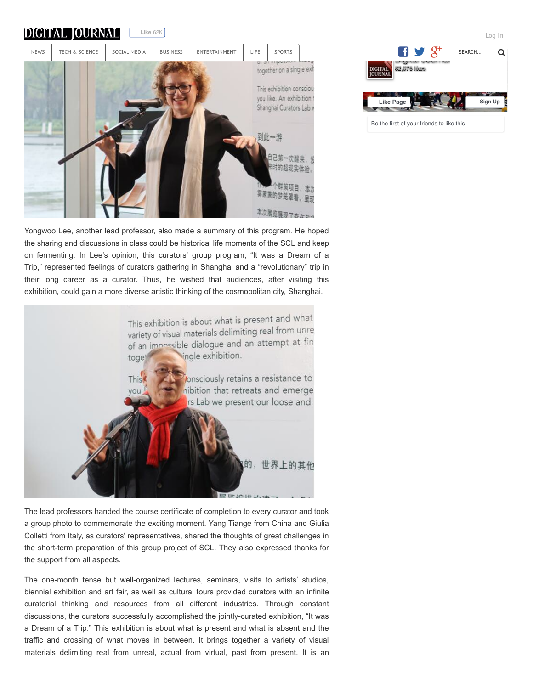

Yongwoo Lee, another lead professor, also made a summary of this program. He hoped the sharing and discussions in class could be historical life moments of the SCL and keep on fermenting. In Lee's opinion, this curators' group program, "It was a Dream of a Trip," represented feelings of curators gathering in Shanghai and a "revolutionary" trip in their long career as a curator. Thus, he wished that audiences, after visiting this exhibition, could gain a more diverse artistic thinking of the cosmopolitan city, Shanghai.



The lead professors handed the course certificate of completion to every curator and took a group photo to commemorate the exciting moment. Yang Tiange from China and Giulia Colletti from Italy, as curators' representatives, shared the thoughts of great challenges in the short-term preparation of this group project of SCL. They also expressed thanks for the support from all aspects.

The one-month tense but well-organized lectures, seminars, visits to artists' studios, biennial exhibition and art fair, as well as cultural tours provided curators with an infinite curatorial thinking and resources from all different industries. Through constant discussions, the curators successfully accomplished the jointly-curated exhibition, "It was a Dream of a Trip." This exhibition is about what is present and what is absent and the traffic and crossing of what moves in between. It brings together a variety of visual materials delimiting real from unreal, actual from virtual, past from present. It is an

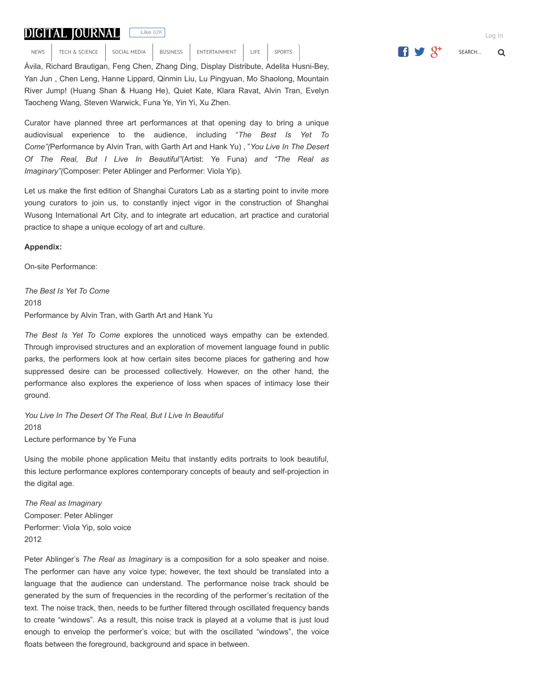# **DIGITAL JOURNAL**

**Like** 62K

finding harmony in the dissonant voices of 21 curators asked to collaborate and work NEWS IECH & SCIENCE SOCIAL MEDIA BUSINESS ENTERTAINMENT LIFE SPORTS NEWS TECH & SCIENCE SOCIAL MEDIA BUSINESS ENTERTAINMENT LIFE SPORTS  $\begin{bmatrix} \text{Sports} \end{bmatrix}$  SEARCH... Q

Ávila, Richard Brautigan, Feng Chen, Zhang Ding, Display Distribute, Adelita Husni-Bey, Yan Jun , Chen Leng, Hanne Lippard, Qinmin Liu, Lu Pingyuan, Mo Shaolong, Mountain River Jump! (Huang Shan & Huang He), Quiet Kate, Klara Ravat, Alvin Tran, Evelyn Taocheng Wang, Steven Warwick, Funa Ye, Yin Yi, Xu Zhen.

Curator have planned three art performances at that opening day to bring a unique audiovisual experience to the audience, including "*The Best Is Yet To Come"(*Performance by Alvin Tran, with Garth Art and Hank Yu) , "*You Live In The Desert Of The Real, But I Live In Beautiful"*(Artist: Ye Funa) *and "The Real as Imaginary"(*Composer: Peter Ablinger and Performer: Viola Yip).

Let us make the first edition of Shanghai Curators Lab as a starting point to invite more young curators to join us, to constantly inject vigor in the construction of Shanghai Wusong International Art City, and to integrate art education, art practice and curatorial practice to shape a unique ecology of art and culture.

### **Appendix:**

On-site Performance:

*The Best Is Yet To Come* 2018 Performance by Alvin Tran, with Garth Art and Hank Yu

*The Best Is Yet To Come* explores the unnoticed ways empathy can be extended. Through improvised structures and an exploration of movement language found in public parks, the performers look at how certain sites become places for gathering and how suppressed desire can be processed collectively. However, on the other hand, the performance also explores the experience of loss when spaces of intimacy lose their ground.

*You Live In The Desert Of The Real, But I Live In Beautiful* 2018 Lecture performance by Ye Funa

Using the mobile phone application Meitu that instantly edits portraits to look beautiful, this lecture performance explores contemporary concepts of beauty and self-projection in the digital age.

*The Real as Imaginary* Composer: Peter Ablinger Performer: Viola Yip, solo voice 2012

Peter Ablinger's *The Real as Imaginary* is a composition for a solo speaker and noise. The performer can have any voice type; however, the text should be translated into a language that the audience can understand. The performance noise track should be generated by the sum of frequencies in the recording of the performer's recitation of the text. The noise track, then, needs to be further filtered through oscillated frequency bands to create "windows". As a result, this noise track is played at a volume that is just loud enough to envelop the performer's voice; but with the oscillated "windows", the voice floats between the foreground, background and space in between.



Log In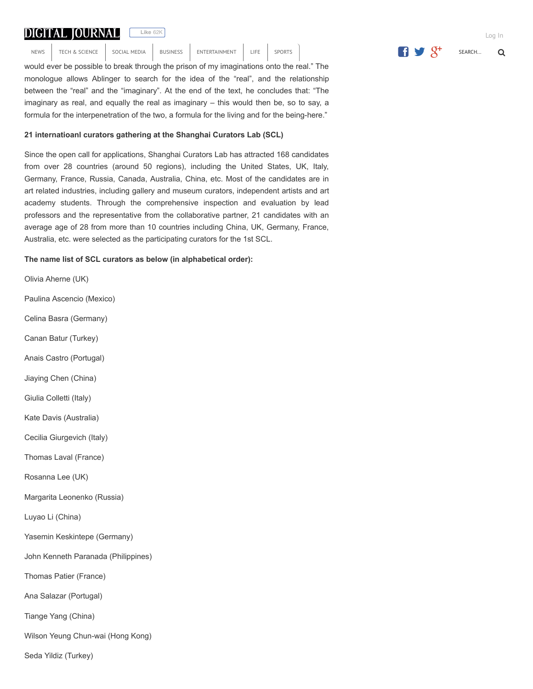## *The Real as Imaginary* questions whether the "imaginary" and the "real" oppose each

**Like** 62K

other in our perception. Ironically, perceiving reality relies on our imagination, as Ablingers on our imagination, as Ablingers relies on  $\alpha$ NEWS I HAD SUENCE SULIAL MEDIA BUSINESS ENTERTAINMENT LIFE SPURTS

would ever be possible to break through the prison of my imaginations onto the real." The monologue allows Ablinger to search for the idea of the "real", and the relationship between the "real" and the "imaginary". At the end of the text, he concludes that: "The imaginary as real, and equally the real as imaginary – this would then be, so to say, a formula for the interpenetration of the two, a formula for the living and for the being-here."

## **21 internatioanl curators gathering at the Shanghai Curators Lab (SCL)**

Since the open call for applications, Shanghai Curators Lab has attracted 168 candidates from over 28 countries (around 50 regions), including the United States, UK, Italy, Germany, France, Russia, Canada, Australia, China, etc. Most of the candidates are in art related industries, including gallery and museum curators, independent artists and art academy students. Through the comprehensive inspection and evaluation by lead professors and the representative from the collaborative partner, 21 candidates with an average age of 28 from more than 10 countries including China, UK, Germany, France, Australia, etc. were selected as the participating curators for the 1st SCL.

## **The name list of SCL curators as below (in alphabetical order):**

Olivia Aherne (UK) Paulina Ascencio (Mexico) Celina Basra (Germany) Canan Batur (Turkey) Anais Castro (Portugal) Jiaying Chen (China) Giulia Colletti (Italy) Kate Davis (Australia) Cecilia Giurgevich (Italy) Thomas Laval (France) Rosanna Lee (UK) Margarita Leonenko (Russia) Luyao Li (China) Yasemin Keskintepe (Germany) John Kenneth Paranada (Philippines) Thomas Patier (France) Ana Salazar (Portugal) Tiange Yang (China) Wilson Yeung Chun-wai (Hong Kong) Seda Yildiz (Turkey)

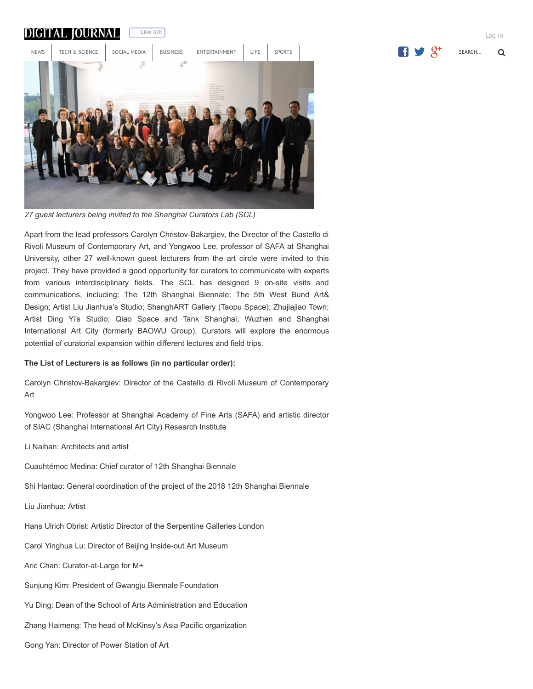

*27 guest lecturers being invited to the Shanghai Curators Lab (SCL)*

Apart from the lead professors Carolyn Christov-Bakargiev, the Director of the Castello di Rivoli Museum of Contemporary Art, and Yongwoo Lee, professor of SAFA at Shanghai University, other 27 well-known guest lecturers from the art circle were invited to this project. They have provided a good opportunity for curators to communicate with experts from various interdisciplinary fields. The SCL has designed 9 on-site visits and communications, including: The 12th Shanghai Biennale; The 5th West Bund Art& Design; Artist Liu Jianhua's Studio; ShanghART Gallery (Taopu Space); Zhujiajiao Town; Artist Ding Yi's Studio; Qiao Space and Tank Shanghai; Wuzhen and Shanghai International Art City (formerly BAOWU Group). Curators will explore the enormous potential of curatorial expansion within different lectures and field trips.

#### **The List of Lecturers is as follows (in no particular order):**

Carolyn Christov-Bakargiev: Director of the Castello di Rivoli Museum of Contemporary Art

Yongwoo Lee: Professor at Shanghai Academy of Fine Arts (SAFA) and artistic director of SIAC (Shanghai International Art City) Research Institute

Li Naihan: Architects and artist

Cuauhtémoc Medina: Chief curator of 12th Shanghai Biennale

Shi Hantao: General coordination of the project of the 2018 12th Shanghai Biennale

Liu Jianhua: Artist

Hans Ulrich Obrist: Artistic Director of the Serpentine Galleries London

Carol Yinghua Lu: Director of Beijing Inside-out Art Museum

Aric Chan: Curator-at-Large for M+

Sunjung Kim: President of Gwangju Biennale Foundation

Yu Ding: Dean of the School of Arts Administration and Education

Zhang Haimeng: The head of McKinsy's Asia Pacific organization

Gong Yan: Director of Power Station of Art